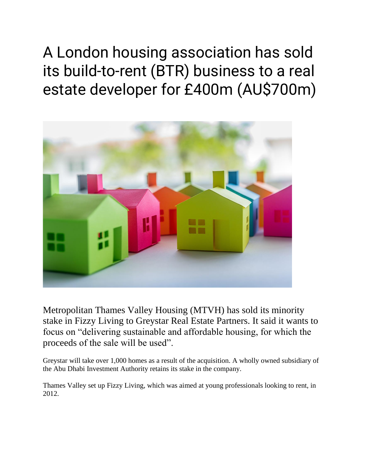A London housing association has sold its build-to-rent (BTR) business to a real estate developer for £400m (AU\$700m)



Metropolitan Thames Valley Housing (MTVH) has sold its minority stake in Fizzy Living to Greystar Real Estate Partners. It said it wants to focus on "delivering sustainable and affordable housing, for which the proceeds of the sale will be used".

Greystar will take over 1,000 homes as a result of the acquisition. A wholly owned subsidiary of the Abu Dhabi Investment Authority retains its stake in the company.

Thames Valley set up Fizzy Living, which was aimed at young professionals looking to rent, in 2012.